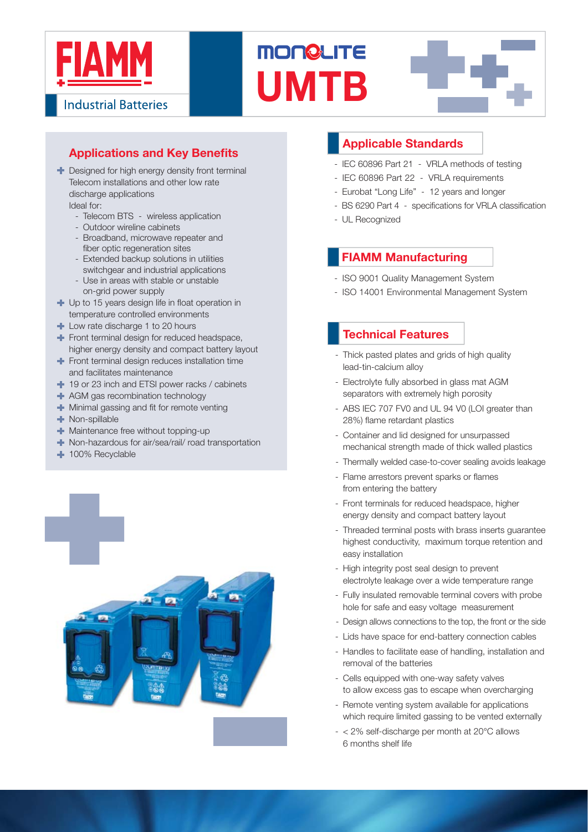

**Industrial Batteries** 

# **Applications and Key Benefits**

- **+** Designed for high energy density front terminal Telecom installations and other low rate discharge applications Ideal for:
	- Telecom BTS wireless application
	- Outdoor wireline cabinets
	- Broadband, microwave repeater and fiber optic regeneration sites
	- Extended backup solutions in utilities switchgear and industrial applications
	- Use in areas with stable or unstable on-grid power supply
- $\blacksquare$  Up to 15 years design life in float operation in temperature controlled environments
- **Low rate discharge 1 to 20 hours**
- Front terminal design for reduced headspace, higher energy density and compact battery layout
- Front terminal design reduces installation time and facilitates maintenance
- <sup>1</sup> 19 or 23 inch and ETSI power racks / cabinets
- **+** AGM gas recombination technology
- $\blacksquare$  Minimal gassing and fit for remote venting
- **Non-spillable**
- **Maintenance free without topping-up**
- Non-hazardous for air/sea/rail/ road transportation
- **100% Recyclable**



## **Applicable Standards**

- IEC 60896 Part 21 VRLA methods of testing
- IEC 60896 Part 22 VRLA requirements
- Eurobat "Long Life" 12 years and longer
- BS 6290 Part 4 specifications for VRLA classification
- UL Recognized

**UMTB**

**MONGLITE** 

### **FIAMM Manufacturing**

- ISO 9001 Quality Management System
- ISO 14001 Environmental Management System

### - **Technical Features**

- Thick pasted plates and grids of high quality lead-tin-calcium alloy
- Electrolyte fully absorbed in glass mat AGM separators with extremely high porosity
- ABS IEC 707 FV0 and UL 94 V0 (LOI greater than 28%) flame retardant plastics
- Container and lid designed for unsurpassed mechanical strength made of thick walled plastics
- Thermally welded case-to-cover sealing avoids leakage
- Flame arrestors prevent sparks or flames from entering the battery
- Front terminals for reduced headspace, higher energy density and compact battery layout
- Threaded terminal posts with brass inserts guarantee highest conductivity, maximum torque retention and easy installation
- High integrity post seal design to prevent electrolyte leakage over a wide temperature range
- Fully insulated removable terminal covers with probe hole for safe and easy voltage measurement
- Design allows connections to the top, the front or the side
- Lids have space for end-battery connection cables
- Handles to facilitate ease of handling, installation and removal of the batteries
- Cells equipped with one-way safety valves to allow excess gas to escape when overcharging
- Remote venting system available for applications which require limited gassing to be vented externally
- $< 2\%$  self-discharge per month at  $20^{\circ}$ C allows 6 months shelf life